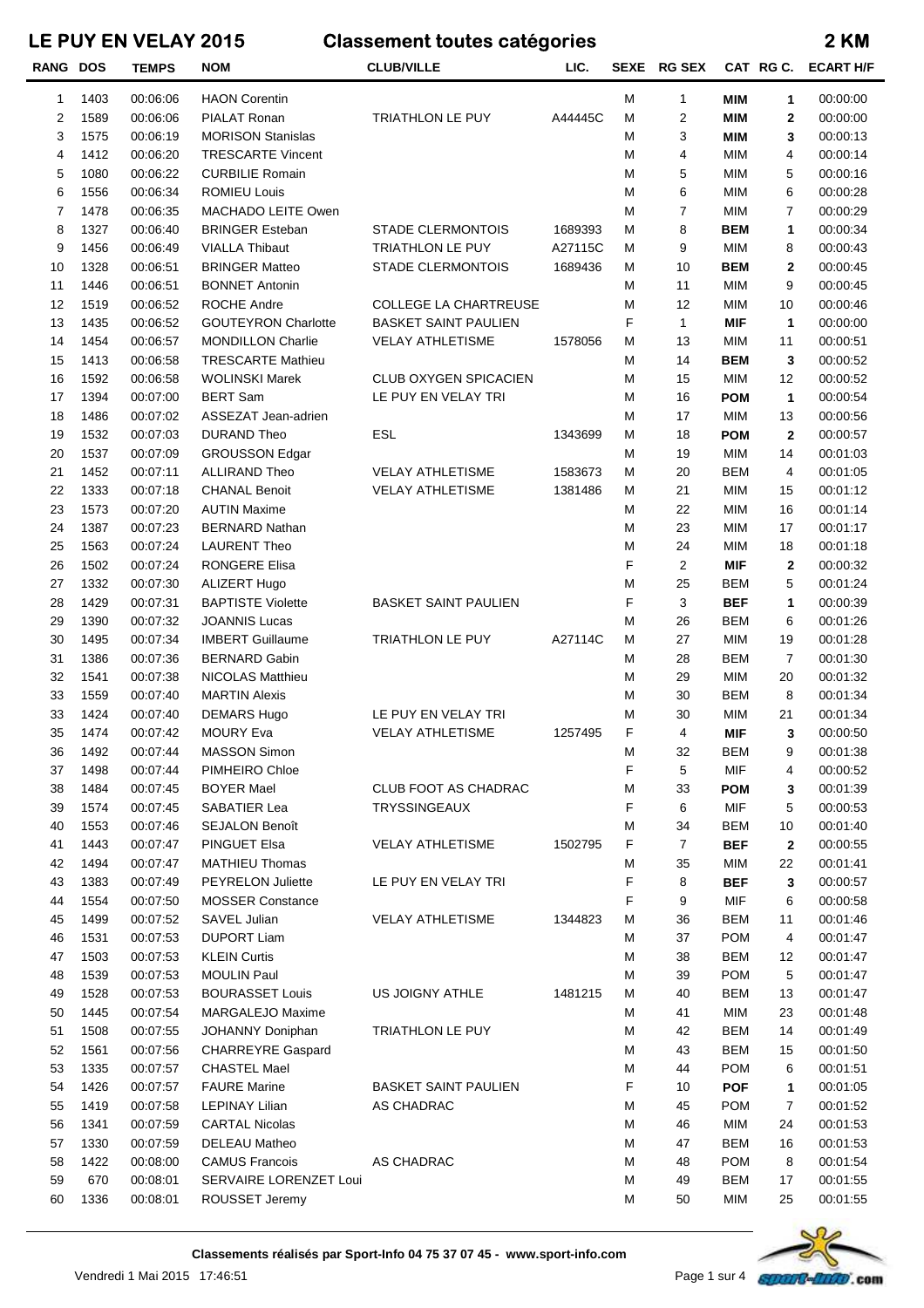**RANG DOS TEMPS NOM CLUB/VILLE CAT RG C. SEXE** LIC. **SEXE RG SEX CAT RG C. ECART H/F** 1 1403 00:06:06 HAON Corentin M 1 **MIM 1** 00:00:00 2 1589 00:06:06 PIALAT Ronan TRIATHLON LE PUY M A44445C 2 **MIM 2** 00:00:00 3 1575 00:06:19 MORISON Stanislas M 3 **MIM 3** 00:00:13 4 1412 00:06:20 TRESCARTE Vincent M 00:00:14 4 MIM 4 5 1080 00:06:22 CURBILIE Romain M 00:00:16 5 MIM 5 6 1556 00:06:34 ROMIEU Louis M 00:00:28 6 MIM 6 7 1478 00:06:35 MACHADO LEITE Owen M 00:00:29 7 MIM 7 8 1327 00:06:40 BRINGER Esteban STADE CLERMONTOIS M 1689393 8 **BEM 1** 00:00:34 9 1456 00:06:49 VIALLA Thibaut TRIATHLON LE PUY A27115C M 00:00:43 9 MIM 8 10 1328 00:06:51 BRINGER Matteo STADE CLERMONTOIS M 1689436 10 **BEM 2** 00:00:45 11 1446 00:06:51 BONNET Antonin New York 11 MIM 9 00:00:45 11 MIM 9 00:00:45 12 1519 00:06:52 ROCHE Andre COLLEGE LA CHARTREUSE M 00:00:46 12 MIM 10 13 1435 00:06:52 GOUTEYRON Charlotte BASKET SAINT PAULIEN F 1 **MIF 1** 00:00:00 14 1454 00:06:57 MONDILLON Charlie VELAY ATHLETISME 1578056 M 13 MIM 11 00:00:51 15 1413 00:06:58 TRESCARTE Mathieu M 14 **BEM 3** 00:00:52 16 1592 00:06:58 WOLINSKI Marek CLUB OXYGEN SPICACIEN M 015 MIM 12 00:00:52 17 1394 00:07:00 BERT Sam LE PUY EN VELAY TRI M 16 **POM 1** 00:00:54 18 1486 00:07:02 ASSEZAT Jean-adrien M 00:00:56 17 MIM 13 19 1532 00:07:03 DURAND Theo ESL 1343699 M 18 **POM 2** 00:00:57 20 1537 00:07:09 GROUSSON Edgar M 00:01:03 19 MIM 14 00:01:03 21 1452 00:07:11 ALLIRAND Theo VELAY ATHLETISME 1583673 M 20 BEM 4 00:01:05 22 1333 00:07:18 CHANAL Benoit VELAY ATHLETISME 1381486 M 00:01:12 21 MIM 15 23 1573 00:07:20 AUTIN Maxime M 22 MIM 16 00:01:14 24 1387 00:07:23 BERNARD Nathan M 00:01:17 23 MIM 17 25 1563 00:07:24 LAURENT Theo M 00:01:18 24 MIM 18 26 1502 00:07:24 RONGERE Elisa F 2 **MIF 2** 00:00:32 27 1332 00:07:30 ALIZERT Hugo M 25 BEM 5 00:01:24 28 1429 00:07:31 BAPTISTE Violette BASKET SAINT PAULIEN F 3 **BEF 1** 00:00:39 29 1390 00:07:32 JOANNIS Lucas M 00:01:26 26 BEM 6 30 1495 00:07:34 IMBERT Guillaume TRIATHLON LE PUY A27114C M 00:01:28 27 MIM 19 31 1386 00:07:36 BERNARD Gabin M 28 BEM 7 00:01:30 32 1541 00:07:38 NICOLAS Matthieu M 00:01:32 29 MIM 20 33 1559 00:07:40 MARTIN Alexis M 00:01:34 30 BEM 8 33 1424 00:07:40 DEMARS Hugo LE PUY EN VELAY TRI M 30 MIM 21 00:01:34 35 1474 00:07:42 MOURY Eva VELAY ATHLETISME F 1257495 4 **MIF 3** 00:00:50 36 1492 00:07:44 MASSON Simon M 32 BEM 9 00:01:38 37 1498 00:07:44 PIMHEIRO Chloe F 5 MIF 4 00:00:52 38 1484 00:07:45 BOYER Mael CLUB FOOT AS CHADRAC M 33 **POM 3** 00:01:39 39 1574 00:07:45 SABATIER Lea TRYSSINGEAUX F 00:00:53 6 MIF 5 40 1553 00:07:46 SEJALON Benoît M 00:01:40 34 BEM 10 41 1443 00:07:47 PINGUET Elsa VELAY ATHLETISME F 1502795 7 **BEF 2** 00:00:55 42 1494 00:07:47 MATHIEU Thomas 20 12 12 13 MM 00:07:47 MATHIEU Thomas 35 MM 00:07:47 MM 00:01:41 43 1383 00:07:49 PEYRELON Juliette LE PUY EN VELAY TRI F 8 **BEF 3** 00:00:57 44 1554 00:07:50 MOSSER Constance F 00:00:58 9 MIF 6 45 1499 00:07:52 SAVEL Julian VELAY ATHLETISME 1344823 M 36 BEM 11 00:01:46 46 1531 00:07:53 DUPORT Liam M 00:01:47 37 POM 4 47 1503 00:07:53 KLEIN Curtis M 00:01:47 38 BEM 12 48 1539 00:07:53 MOULIN Paul M 39 POM 5 00:01:47 49 1528 00:07:53 BOURASSET Louis US JOIGNY ATHLE 1481215 M 40 BEM 13 00:01:47 50 1445 00:07:54 MARGALEJO Maxime M 00:01:48 41 MIM 23 51 1508 00:07:55 JOHANNY Doniphan TRIATHLON LE PUY M 42 BEM 14 00:01:49 52 1561 00:07:56 CHARREYRE Gaspard **M** 43 BEM 15 00:01:50 53 1335 00:07:57 CHASTEL Mael M 44 POM 6 00:01:51 54 1426 00:07:57 FAURE Marine BASKET SAINT PAULIEN F 10 **POF 1** 00:01:05 55 1419 00:07:58 LEPINAY Lilian AS CHADRAC M 45 POM 7 00:01:52 56 1341 00:07:59 CARTAL Nicolas M 00:01:53 46 MIM 24 57 1330 00:07:59 DELEAU Matheo **M** 47 BEM 16 00:01:53 58 1422 00:08:00 CAMUS Francois AS CHADRAC M 48 POM 8 00:01:54 59 670 00:08:01 SERVAIRE LORENZET Loui M 00:01:55 49 BEM 17



60 1336 00:08:01 ROUSSET Jeremy M 00:01:55 50 MIM 25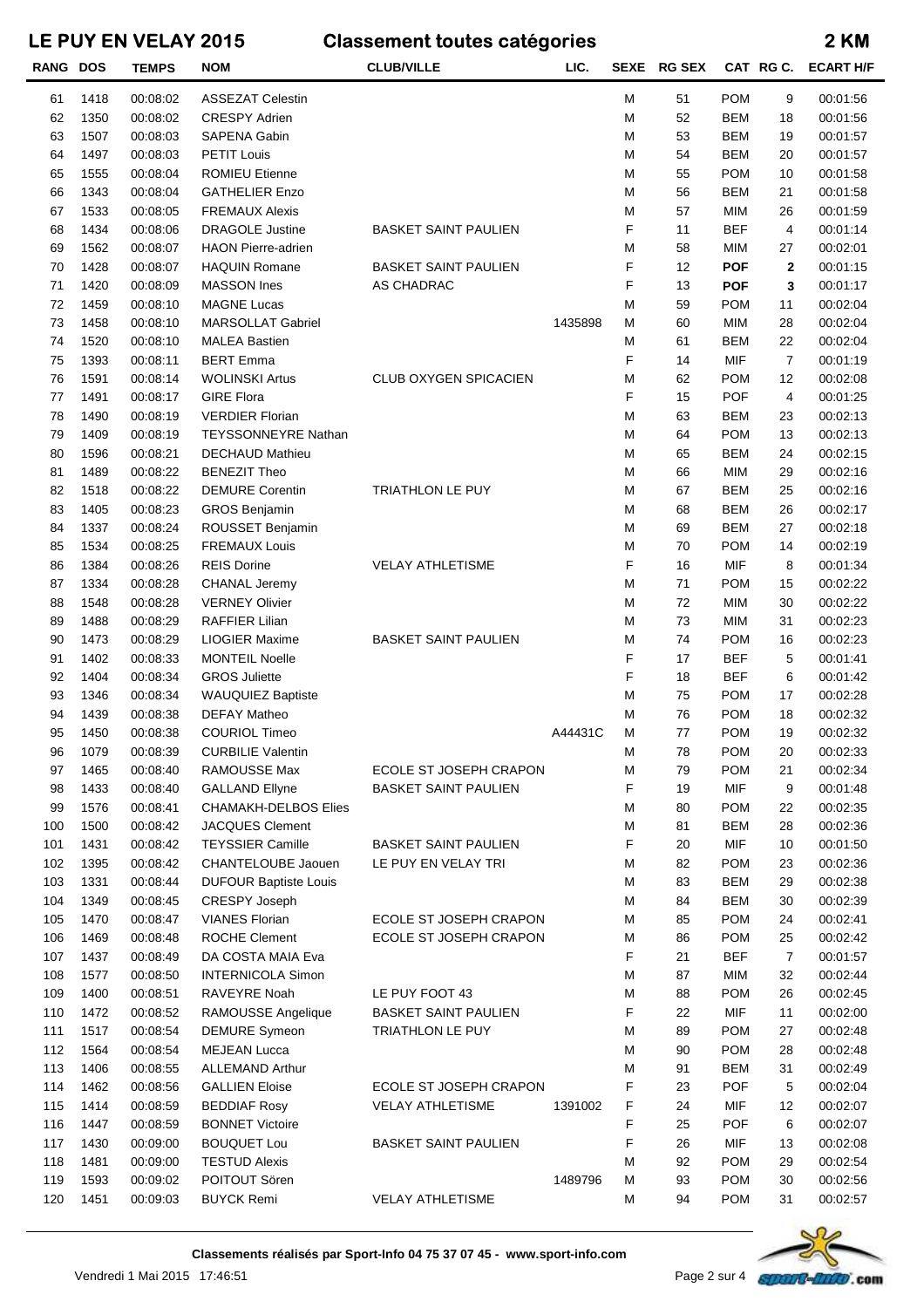| RANG DOS |      | <b>TEMPS</b> | <b>NOM</b>                   | <b>CLUB/VILLE</b>           | LIC.    | <b>SEXE</b> | <b>RG SEX</b> |            | CAT RG C.      | <b>ECART H/F</b> |
|----------|------|--------------|------------------------------|-----------------------------|---------|-------------|---------------|------------|----------------|------------------|
| 61       | 1418 | 00:08:02     | <b>ASSEZAT Celestin</b>      |                             |         | М           | 51            | <b>POM</b> | 9              | 00:01:56         |
| 62       | 1350 | 00:08:02     | <b>CRESPY Adrien</b>         |                             |         | M           | 52            | <b>BEM</b> | 18             | 00:01:56         |
| 63       | 1507 | 00:08:03     | SAPENA Gabin                 |                             |         | М           | 53            | <b>BEM</b> | 19             | 00:01:57         |
| 64       | 1497 | 00:08:03     | <b>PETIT Louis</b>           |                             |         | М           | 54            | <b>BEM</b> | 20             | 00:01:57         |
| 65       | 1555 | 00:08:04     | <b>ROMIEU Etienne</b>        |                             |         | М           | 55            | <b>POM</b> | 10             | 00:01:58         |
| 66       | 1343 | 00:08:04     | <b>GATHELIER Enzo</b>        |                             |         | М           | 56            | <b>BEM</b> | 21             | 00:01:58         |
| 67       | 1533 | 00:08:05     | <b>FREMAUX Alexis</b>        |                             |         | М           | 57            | MIM        | 26             | 00:01:59         |
| 68       | 1434 | 00:08:06     | <b>DRAGOLE Justine</b>       | <b>BASKET SAINT PAULIEN</b> |         | F           | 11            | <b>BEF</b> | 4              | 00:01:14         |
| 69       | 1562 | 00:08:07     | <b>HAON Pierre-adrien</b>    |                             |         | M           | 58            | MIM        | 27             | 00:02:01         |
| 70       | 1428 | 00:08:07     | <b>HAQUIN Romane</b>         | <b>BASKET SAINT PAULIEN</b> |         | F           | 12            | <b>POF</b> | $\mathbf{2}$   | 00:01:15         |
| 71       | 1420 | 00:08:09     | <b>MASSON</b> Ines           | AS CHADRAC                  |         | F           | 13            | <b>POF</b> | 3              | 00:01:17         |
| 72       | 1459 | 00:08:10     | <b>MAGNE Lucas</b>           |                             |         | M           | 59            | <b>POM</b> | 11             | 00:02:04         |
| 73       | 1458 | 00:08:10     | <b>MARSOLLAT Gabriel</b>     |                             | 1435898 | М           | 60            | MIM        | 28             | 00:02:04         |
| 74       | 1520 | 00:08:10     | <b>MALEA Bastien</b>         |                             |         | М           | 61            | <b>BEM</b> | 22             | 00:02:04         |
| 75       | 1393 | 00:08:11     | <b>BERT Emma</b>             |                             |         | F           | 14            | <b>MIF</b> | $\overline{7}$ | 00:01:19         |
| 76       | 1591 | 00:08:14     | <b>WOLINSKI Artus</b>        | CLUB OXYGEN SPICACIEN       |         | M           | 62            | <b>POM</b> | 12             | 00:02:08         |
| 77       | 1491 | 00:08:17     | <b>GIRE Flora</b>            |                             |         | F           | 15            | <b>POF</b> | 4              | 00:01:25         |
| 78       | 1490 | 00:08:19     | <b>VERDIER Florian</b>       |                             |         | M           | 63            | <b>BEM</b> | 23             | 00:02:13         |
| 79       | 1409 | 00:08:19     | <b>TEYSSONNEYRE Nathan</b>   |                             |         | М           | 64            | <b>POM</b> | 13             | 00:02:13         |
| 80       | 1596 | 00:08:21     | <b>DECHAUD Mathieu</b>       |                             |         | М           | 65            | <b>BEM</b> | 24             | 00:02:15         |
| 81       | 1489 | 00:08:22     | <b>BENEZIT Theo</b>          |                             |         | М           | 66            | MIM        | 29             | 00:02:16         |
| 82       | 1518 | 00:08:22     | <b>DEMURE Corentin</b>       | TRIATHLON LE PUY            |         | М           | 67            | <b>BEM</b> | 25             | 00:02:16         |
| 83       | 1405 | 00:08:23     | <b>GROS Benjamin</b>         |                             |         | М           | 68            | <b>BEM</b> | 26             | 00:02:17         |
| 84       | 1337 | 00:08:24     | ROUSSET Benjamin             |                             |         | М           | 69            | <b>BEM</b> | 27             | 00:02:18         |
| 85       | 1534 | 00:08:25     | <b>FREMAUX Louis</b>         |                             |         | М           | 70            | <b>POM</b> | 14             | 00:02:19         |
| 86       | 1384 | 00:08:26     | <b>REIS Dorine</b>           | <b>VELAY ATHLETISME</b>     |         | F           | 16            | MIF        | 8              | 00:01:34         |
| 87       | 1334 | 00:08:28     | <b>CHANAL Jeremy</b>         |                             |         | M           | 71            | <b>POM</b> | 15             | 00:02:22         |
| 88       | 1548 | 00:08:28     | <b>VERNEY Olivier</b>        |                             |         | М           | 72            | MIM        | 30             | 00:02:22         |
| 89       | 1488 | 00:08:29     | <b>RAFFIER Lilian</b>        |                             |         | М           | 73            | MIM        | 31             | 00:02:23         |
| 90       | 1473 | 00:08:29     | <b>LIOGIER Maxime</b>        | <b>BASKET SAINT PAULIEN</b> |         | М           | 74            | <b>POM</b> | 16             | 00:02:23         |
| 91       | 1402 | 00:08:33     | <b>MONTEIL Noelle</b>        |                             |         | F           | 17            | <b>BEF</b> | 5              | 00:01:41         |
| 92       | 1404 | 00:08:34     | <b>GROS Juliette</b>         |                             |         | F           | 18            | <b>BEF</b> | 6              | 00:01:42         |
| 93       | 1346 | 00:08:34     | <b>WAUQUIEZ Baptiste</b>     |                             |         | M           | 75            | <b>POM</b> | 17             | 00:02:28         |
| 94       | 1439 | 00:08:38     | <b>DEFAY Matheo</b>          |                             |         | М           | 76            | <b>POM</b> | 18             | 00:02:32         |
| 95       | 1450 | 00:08:38     | <b>COURIOL Timeo</b>         |                             | A44431C | М           | 77            | <b>POM</b> | 19             | 00:02:32         |
| 96       | 1079 | 00:08:39     | <b>CURBILIE Valentin</b>     |                             |         | м           | 78            | <b>POM</b> | 20             | 00:02:33         |
| 97       | 1465 | 00:08:40     | RAMOUSSE Max                 | ECOLE ST JOSEPH CRAPON      |         | М           | 79            | <b>POM</b> | 21             | 00:02:34         |
| 98       | 1433 | 00:08:40     | <b>GALLAND Ellyne</b>        | <b>BASKET SAINT PAULIEN</b> |         | F           | 19            | MIF        | 9              | 00:01:48         |
| 99       | 1576 | 00:08:41     | <b>CHAMAKH-DELBOS Elies</b>  |                             |         | М           | 80            | <b>POM</b> | 22             | 00:02:35         |
| 100      | 1500 | 00:08:42     | <b>JACQUES Clement</b>       |                             |         | М           | 81            | <b>BEM</b> | 28             | 00:02:36         |
| 101      | 1431 | 00:08:42     | <b>TEYSSIER Camille</b>      | <b>BASKET SAINT PAULIEN</b> |         | F           | 20            | MIF        | 10             | 00:01:50         |
| 102      | 1395 | 00:08:42     | CHANTELOUBE Jaouen           | LE PUY EN VELAY TRI         |         | M           | 82            | <b>POM</b> | 23             | 00:02:36         |
| 103      | 1331 | 00:08:44     | <b>DUFOUR Baptiste Louis</b> |                             |         | М           | 83            | <b>BEM</b> | 29             | 00:02:38         |
| 104      | 1349 | 00:08:45     | CRESPY Joseph                |                             |         | М           | 84            | <b>BEM</b> | 30             | 00:02:39         |
| 105      | 1470 | 00:08:47     | <b>VIANES Florian</b>        | ECOLE ST JOSEPH CRAPON      |         | М           | 85            | <b>POM</b> | 24             | 00:02:41         |
| 106      | 1469 | 00:08:48     | <b>ROCHE Clement</b>         | ECOLE ST JOSEPH CRAPON      |         | М           | 86            | <b>POM</b> | 25             | 00:02:42         |
| 107      | 1437 | 00:08:49     | DA COSTA MAIA Eva            |                             |         | F           | 21            | <b>BEF</b> | 7              | 00:01:57         |
| 108      | 1577 | 00:08:50     | <b>INTERNICOLA Simon</b>     |                             |         | М           | 87            | MIM        | 32             | 00:02:44         |
| 109      | 1400 | 00:08:51     | RAVEYRE Noah                 | LE PUY FOOT 43              |         | М           | 88            | <b>POM</b> | 26             | 00:02:45         |
| 110      | 1472 | 00:08:52     | RAMOUSSE Angelique           | <b>BASKET SAINT PAULIEN</b> |         | F           | 22            | MIF        | 11             | 00:02:00         |
| 111      | 1517 | 00:08:54     | <b>DEMURE</b> Symeon         | TRIATHLON LE PUY            |         | М           | 89            | <b>POM</b> | 27             | 00:02:48         |
| 112      | 1564 | 00:08:54     | <b>MEJEAN Lucca</b>          |                             |         | М           | 90            | <b>POM</b> | 28             | 00:02:48         |
| 113      | 1406 | 00:08:55     | <b>ALLEMAND Arthur</b>       |                             |         | М           | 91            | <b>BEM</b> | 31             | 00:02:49         |
| 114      | 1462 | 00:08:56     | <b>GALLIEN Eloise</b>        | ECOLE ST JOSEPH CRAPON      |         | F           | 23            | <b>POF</b> | 5              | 00:02:04         |
| 115      | 1414 | 00:08:59     | <b>BEDDIAF Rosy</b>          | <b>VELAY ATHLETISME</b>     | 1391002 | F           | 24            | MIF        | 12             | 00:02:07         |
| 116      | 1447 | 00:08:59     | <b>BONNET Victoire</b>       |                             |         | F           | 25            | <b>POF</b> | 6              | 00:02:07         |
| 117      | 1430 | 00:09:00     | <b>BOUQUET Lou</b>           | <b>BASKET SAINT PAULIEN</b> |         | F           | 26            | MIF        | 13             | 00:02:08         |
| 118      | 1481 | 00:09:00     | <b>TESTUD Alexis</b>         |                             |         | М           | 92            | <b>POM</b> | 29             | 00:02:54         |
| 119      | 1593 | 00:09:02     | POITOUT Sören                |                             | 1489796 | М           | 93            | <b>POM</b> | 30             | 00:02:56         |
| 120      | 1451 | 00:09:03     | <b>BUYCK Remi</b>            | <b>VELAY ATHLETISME</b>     |         | М           | 94            | <b>POM</b> | 31             | 00:02:57         |
|          |      |              |                              |                             |         |             |               |            |                |                  |

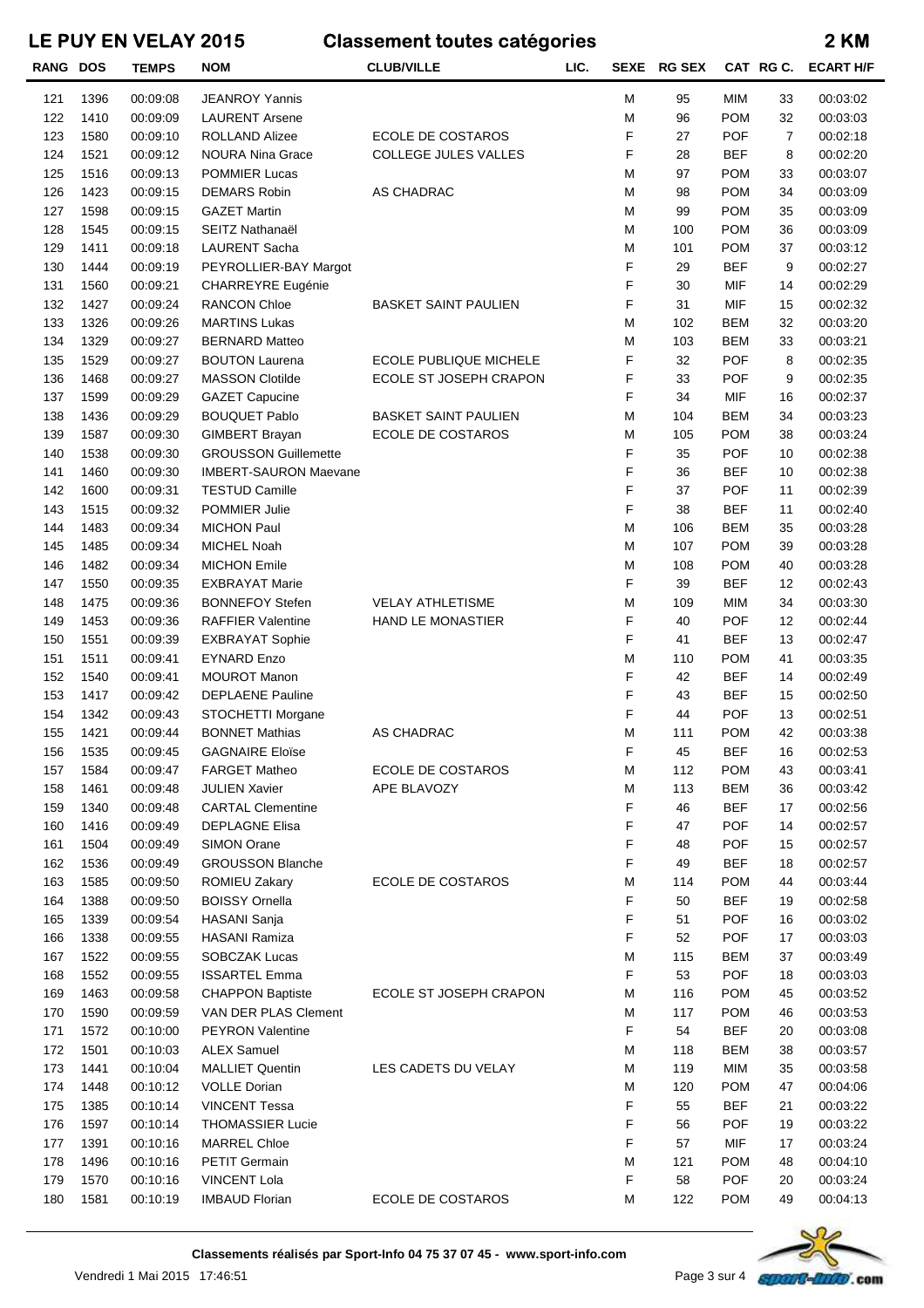| <b>RANG DOS</b> |      | <b>TEMPS</b> | <b>NOM</b>                   | <b>CLUB/VILLE</b>           | LIC. |   | SEXE RG SEX |            | CAT RG C.      | <b>ECART H/F</b> |
|-----------------|------|--------------|------------------------------|-----------------------------|------|---|-------------|------------|----------------|------------------|
| 121             | 1396 | 00:09:08     | <b>JEANROY Yannis</b>        |                             |      | М | 95          | MIM        | 33             | 00:03:02         |
| 122             | 1410 | 00:09:09     | <b>LAURENT Arsene</b>        |                             |      | М | 96          | <b>POM</b> | 32             | 00:03:03         |
| 123             | 1580 | 00:09:10     | <b>ROLLAND Alizee</b>        | ECOLE DE COSTAROS           |      | F | 27          | <b>POF</b> | $\overline{7}$ | 00:02:18         |
| 124             | 1521 | 00:09:12     | <b>NOURA Nina Grace</b>      | <b>COLLEGE JULES VALLES</b> |      | F | 28          | <b>BEF</b> | 8              | 00:02:20         |
| 125             | 1516 | 00:09:13     | <b>POMMIER Lucas</b>         |                             |      | М | 97          | <b>POM</b> | 33             | 00:03:07         |
| 126             | 1423 | 00:09:15     | <b>DEMARS Robin</b>          | AS CHADRAC                  |      | М | 98          | <b>POM</b> | 34             | 00:03:09         |
| 127             | 1598 | 00:09:15     | <b>GAZET Martin</b>          |                             |      | М | 99          | <b>POM</b> | 35             | 00:03:09         |
| 128             | 1545 | 00:09:15     | SEITZ Nathanaël              |                             |      | М | 100         | <b>POM</b> | 36             | 00:03:09         |
| 129             | 1411 | 00:09:18     | <b>LAURENT Sacha</b>         |                             |      | M | 101         | <b>POM</b> | 37             | 00:03:12         |
| 130             | 1444 | 00:09:19     | PEYROLLIER-BAY Margot        |                             |      | F | 29          | <b>BEF</b> | 9              | 00:02:27         |
| 131             | 1560 | 00:09:21     | CHARREYRE Eugénie            |                             |      | F | 30          | MIF        | 14             | 00:02:29         |
| 132             | 1427 | 00:09:24     | <b>RANCON Chloe</b>          | <b>BASKET SAINT PAULIEN</b> |      | F | 31          | MIF        | 15             | 00:02:32         |
| 133             | 1326 | 00:09:26     | <b>MARTINS Lukas</b>         |                             |      | М | 102         | <b>BEM</b> | 32             | 00:03:20         |
| 134             | 1329 | 00:09:27     | <b>BERNARD Matteo</b>        |                             |      | М | 103         | <b>BEM</b> | 33             | 00:03:21         |
| 135             | 1529 | 00:09:27     | <b>BOUTON Laurena</b>        | ECOLE PUBLIQUE MICHELE      |      | F | 32          | <b>POF</b> | 8              | 00:02:35         |
| 136             | 1468 | 00:09:27     | <b>MASSON Clotilde</b>       | ECOLE ST JOSEPH CRAPON      |      | F | 33          | <b>POF</b> | 9              | 00:02:35         |
| 137             | 1599 | 00:09:29     | <b>GAZET Capucine</b>        |                             |      | F | 34          | <b>MIF</b> | 16             | 00:02:37         |
| 138             | 1436 | 00:09:29     | <b>BOUQUET Pablo</b>         | <b>BASKET SAINT PAULIEN</b> |      | М | 104         | <b>BEM</b> | 34             | 00:03:23         |
| 139             | 1587 | 00:09:30     | GIMBERT Brayan               | ECOLE DE COSTAROS           |      | М | 105         | <b>POM</b> | 38             | 00:03:24         |
| 140             | 1538 | 00:09:30     | <b>GROUSSON Guillemette</b>  |                             |      | F | 35          | <b>POF</b> | 10             | 00:02:38         |
| 141             | 1460 | 00:09:30     | <b>IMBERT-SAURON Maevane</b> |                             |      | F | 36          | <b>BEF</b> | 10             | 00:02:38         |
| 142             | 1600 | 00:09:31     | <b>TESTUD Camille</b>        |                             |      | F | 37          | <b>POF</b> | 11             | 00:02:39         |
| 143             | 1515 | 00:09:32     | <b>POMMIER Julie</b>         |                             |      | F | 38          | <b>BEF</b> | 11             | 00:02:40         |
| 144             | 1483 | 00:09:34     | <b>MICHON Paul</b>           |                             |      | М | 106         | <b>BEM</b> | 35             | 00:03:28         |
| 145             | 1485 | 00:09:34     | MICHEL Noah                  |                             |      | М | 107         | <b>POM</b> | 39             | 00:03:28         |
| 146             | 1482 | 00:09:34     | <b>MICHON Emile</b>          |                             |      | М | 108         | <b>POM</b> | 40             | 00:03:28         |
| 147             | 1550 | 00:09:35     | <b>EXBRAYAT Marie</b>        |                             |      | F | 39          | <b>BEF</b> | 12             | 00:02:43         |
| 148             | 1475 | 00:09:36     | <b>BONNEFOY Stefen</b>       | <b>VELAY ATHLETISME</b>     |      | M | 109         | <b>MIM</b> | 34             | 00:03:30         |
| 149             | 1453 | 00:09:36     | <b>RAFFIER Valentine</b>     | <b>HAND LE MONASTIER</b>    |      | F | 40          | <b>POF</b> | 12             | 00:02:44         |
| 150             | 1551 | 00:09:39     | <b>EXBRAYAT Sophie</b>       |                             |      | F | 41          | <b>BEF</b> | 13             | 00:02:47         |
| 151             | 1511 | 00:09:41     | <b>EYNARD Enzo</b>           |                             |      | М | 110         | <b>POM</b> | 41             | 00:03:35         |
| 152             | 1540 | 00:09:41     | <b>MOUROT Manon</b>          |                             |      | F | 42          | <b>BEF</b> | 14             | 00:02:49         |
| 153             | 1417 | 00:09:42     | <b>DEPLAENE Pauline</b>      |                             |      | F | 43          | <b>BEF</b> | 15             | 00:02:50         |
| 154             | 1342 | 00:09:43     | STOCHETTI Morgane            |                             |      | F | 44          | <b>POF</b> | 13             | 00:02:51         |
| 155             | 1421 | 00:09:44     | <b>BONNET Mathias</b>        | AS CHADRAC                  |      | М | 111         | <b>POM</b> | 42             | 00:03:38         |
| 156             | 1535 | 00:09:45     | <b>GAGNAIRE Eloïse</b>       |                             |      | F | 45          | <b>BEF</b> | 16             | 00:02:53         |
| 157             | 1584 | 00:09:47     | <b>FARGET Matheo</b>         | ECOLE DE COSTAROS           |      | M | 112         | <b>POM</b> | 43             | 00:03:41         |
| 158             | 1461 | 00:09:48     | <b>JULIEN Xavier</b>         | APE BLAVOZY                 |      | M | 113         | <b>BEM</b> | 36             | 00:03:42         |
| 159             | 1340 | 00:09:48     | <b>CARTAL Clementine</b>     |                             |      | F | 46          | <b>BEF</b> | 17             | 00:02:56         |
| 160             | 1416 | 00:09:49     | <b>DEPLAGNE Elisa</b>        |                             |      | F | 47          | <b>POF</b> | 14             | 00:02:57         |
| 161             | 1504 | 00:09:49     | SIMON Orane                  |                             |      | F | 48          | <b>POF</b> | 15             | 00:02:57         |
| 162             | 1536 | 00:09:49     | <b>GROUSSON Blanche</b>      |                             |      | F | 49          | <b>BEF</b> | 18             | 00:02:57         |
| 163             | 1585 | 00:09:50     | ROMIEU Zakary                | <b>ECOLE DE COSTAROS</b>    |      | М | 114         | <b>POM</b> | 44             | 00:03:44         |
| 164             | 1388 | 00:09:50     | <b>BOISSY Ornella</b>        |                             |      | F | 50          | <b>BEF</b> | 19             | 00:02:58         |
| 165             | 1339 | 00:09:54     | <b>HASANI</b> Sanja          |                             |      | F | 51          | <b>POF</b> | 16             | 00:03:02         |
| 166             | 1338 | 00:09:55     | <b>HASANI Ramiza</b>         |                             |      | F | 52          | <b>POF</b> | 17             | 00:03:03         |
| 167             | 1522 | 00:09:55     | SOBCZAK Lucas                |                             |      | М | 115         | <b>BEM</b> | 37             | 00:03:49         |
| 168             | 1552 | 00:09:55     | <b>ISSARTEL Emma</b>         |                             |      | F | 53          | <b>POF</b> | 18             | 00:03:03         |
| 169             | 1463 | 00:09:58     | <b>CHAPPON Baptiste</b>      | ECOLE ST JOSEPH CRAPON      |      | М | 116         | <b>POM</b> | 45             | 00:03:52         |
| 170             | 1590 | 00:09:59     | VAN DER PLAS Clement         |                             |      | М | 117         | <b>POM</b> | 46             | 00:03:53         |
| 171             | 1572 | 00:10:00     | <b>PEYRON Valentine</b>      |                             |      | F | 54          | <b>BEF</b> | 20             | 00:03:08         |
| 172             | 1501 | 00:10:03     | <b>ALEX Samuel</b>           |                             |      | М | 118         | <b>BEM</b> | 38             | 00:03:57         |
| 173             | 1441 | 00:10:04     | <b>MALLIET Quentin</b>       | LES CADETS DU VELAY         |      | М | 119         | <b>MIM</b> | 35             | 00:03:58         |
| 174             | 1448 | 00:10:12     | <b>VOLLE Dorian</b>          |                             |      | М | 120         | <b>POM</b> | 47             | 00:04:06         |
| 175             | 1385 | 00:10:14     | <b>VINCENT Tessa</b>         |                             |      | F | 55          | <b>BEF</b> | 21             | 00:03:22         |
| 176             | 1597 | 00:10:14     | <b>THOMASSIER Lucie</b>      |                             |      | F | 56          | <b>POF</b> | 19             | 00:03:22         |
| 177             | 1391 | 00:10:16     | <b>MARREL Chloe</b>          |                             |      | F | 57          | MIF        | 17             | 00:03:24         |
| 178             | 1496 | 00:10:16     | <b>PETIT Germain</b>         |                             |      | М | 121         | <b>POM</b> | 48             | 00:04:10         |
| 179             | 1570 | 00:10:16     | <b>VINCENT Lola</b>          |                             |      | F | 58          | <b>POF</b> | 20             | 00:03:24         |
| 180             | 1581 | 00:10:19     | <b>IMBAUD Florian</b>        | ECOLE DE COSTAROS           |      | М | 122         | <b>POM</b> | 49             | 00:04:13         |